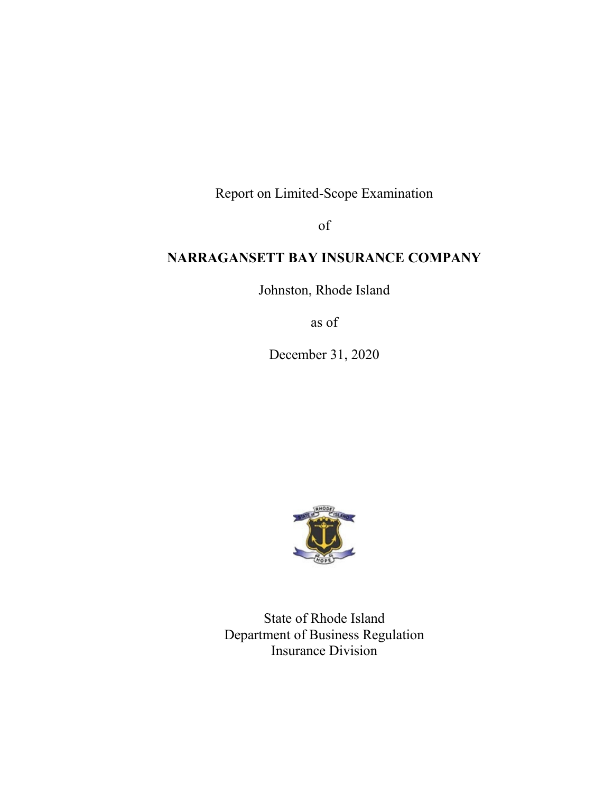Report on Limited-Scope Examination

of

# **NARRAGANSETT BAY INSURANCE COMPANY**

Johnston, Rhode Island

as of

December 31, 2020



State of Rhode Island Department of Business Regulation Insurance Division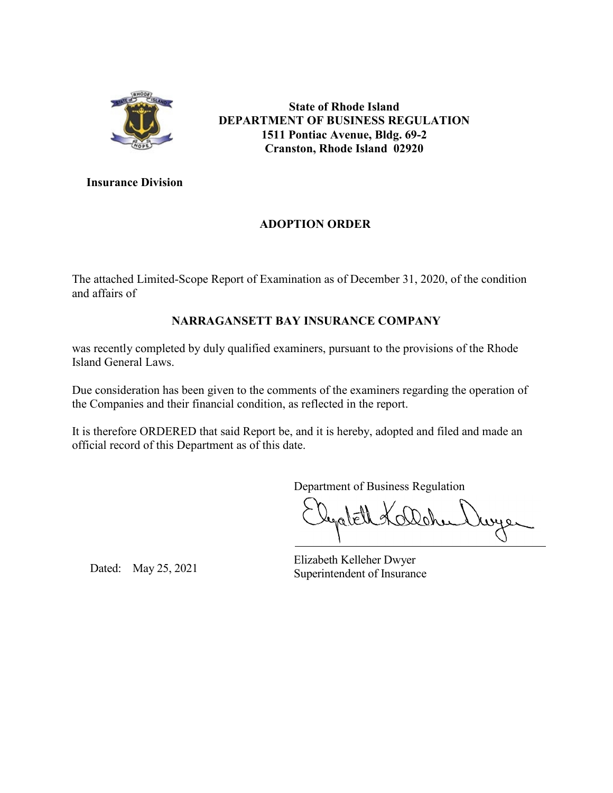

**State of Rhode Island DEPARTMENT OF BUSINESS REGULATION 1511 Pontiac Avenue, Bldg. 69-2 Cranston, Rhode Island 02920**

**Insurance Division**

## **ADOPTION ORDER**

The attached Limited-Scope Report of Examination as of December 31, 2020, of the condition and affairs of

## **NARRAGANSETT BAY INSURANCE COMPANY**

was recently completed by duly qualified examiners, pursuant to the provisions of the Rhode Island General Laws.

Due consideration has been given to the comments of the examiners regarding the operation of the Companies and their financial condition, as reflected in the report.

It is therefore ORDERED that said Report be, and it is hereby, adopted and filed and made an official record of this Department as of this date.

Department of Business Regulation

Elizabeth Kelleher Dwyer Dated: May 25, 2021<br>Superintendent of Insurance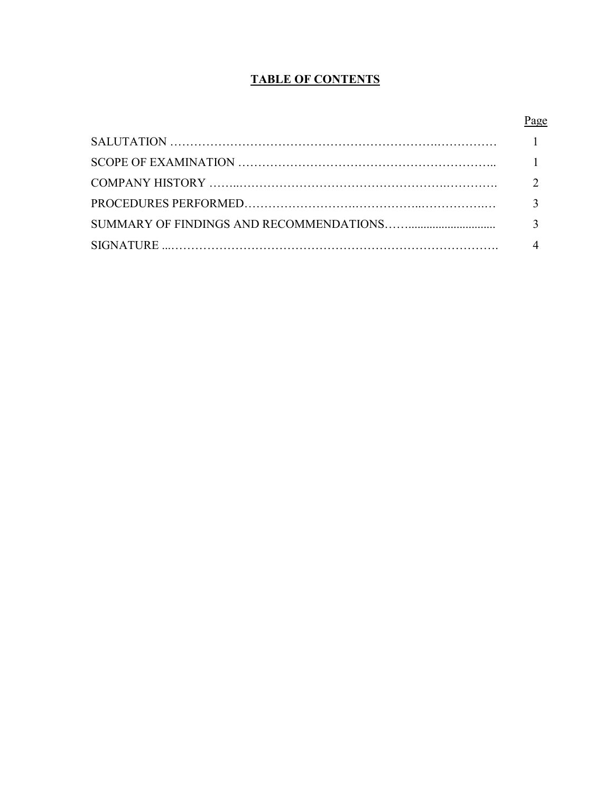## **TABLE OF CONTENTS**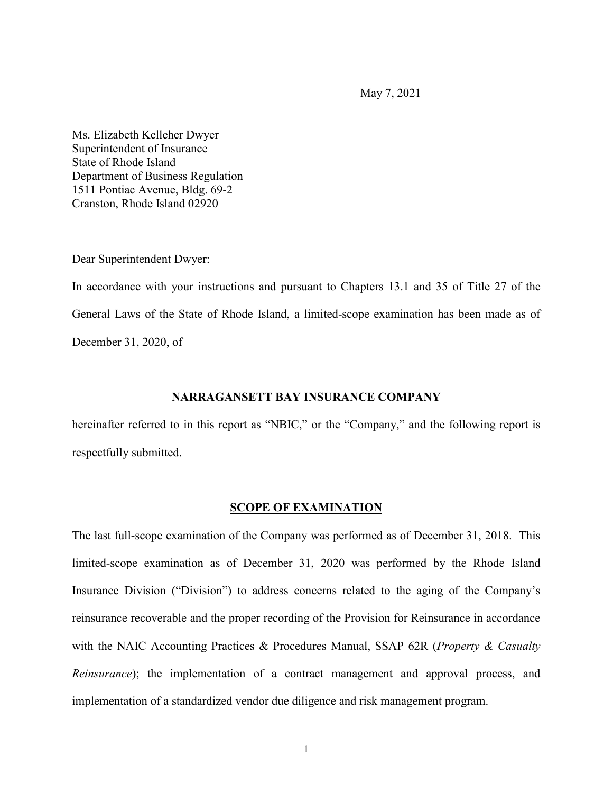May 7, 2021

Ms. Elizabeth Kelleher Dwyer Superintendent of Insurance State of Rhode Island Department of Business Regulation 1511 Pontiac Avenue, Bldg. 69-2 Cranston, Rhode Island 02920

Dear Superintendent Dwyer:

In accordance with your instructions and pursuant to Chapters 13.1 and 35 of Title 27 of the General Laws of the State of Rhode Island, a limited-scope examination has been made as of December 31, 2020, of

### **NARRAGANSETT BAY INSURANCE COMPANY**

hereinafter referred to in this report as "NBIC," or the "Company," and the following report is respectfully submitted.

#### **SCOPE OF EXAMINATION**

The last full-scope examination of the Company was performed as of December 31, 2018. This limited-scope examination as of December 31, 2020 was performed by the Rhode Island Insurance Division ("Division") to address concerns related to the aging of the Company's reinsurance recoverable and the proper recording of the Provision for Reinsurance in accordance with the NAIC Accounting Practices & Procedures Manual, SSAP 62R (*Property & Casualty Reinsurance*); the implementation of a contract management and approval process, and implementation of a standardized vendor due diligence and risk management program.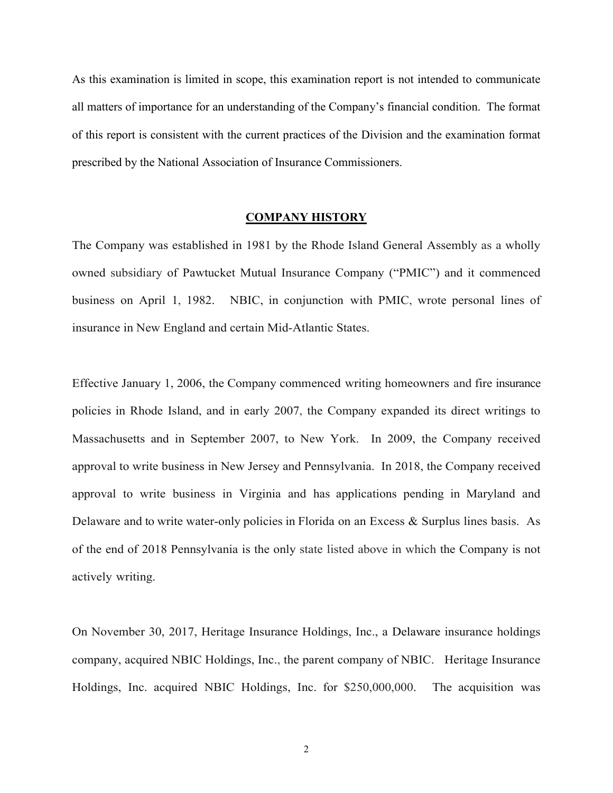As this examination is limited in scope, this examination report is not intended to communicate all matters of importance for an understanding of the Company's financial condition. The format of this report is consistent with the current practices of the Division and the examination format prescribed by the National Association of Insurance Commissioners.

#### **COMPANY HISTORY**

The Company was established in 1981 by the Rhode Island General Assembly as a wholly owned subsidiary of Pawtucket Mutual Insurance Company ("PMIC") and it commenced business on April 1, 1982. NBIC, in conjunction with PMIC, wrote personal lines of insurance in New England and certain Mid-Atlantic States.

Effective January 1, 2006, the Company commenced writing homeowners and fire insurance policies in Rhode Island, and in early 2007, the Company expanded its direct writings to Massachusetts and in September 2007, to New York. In 2009, the Company received approval to write business in New Jersey and Pennsylvania. In 2018, the Company received approval to write business in Virginia and has applications pending in Maryland and Delaware and to write water-only policies in Florida on an Excess & Surplus lines basis. As of the end of 2018 Pennsylvania is the only state listed above in which the Company is not actively writing.

On November 30, 2017, Heritage Insurance Holdings, Inc., a Delaware insurance holdings company, acquired NBIC Holdings, Inc., the parent company of NBIC. Heritage Insurance Holdings, Inc. acquired NBIC Holdings, Inc. for \$250,000,000. The acquisition was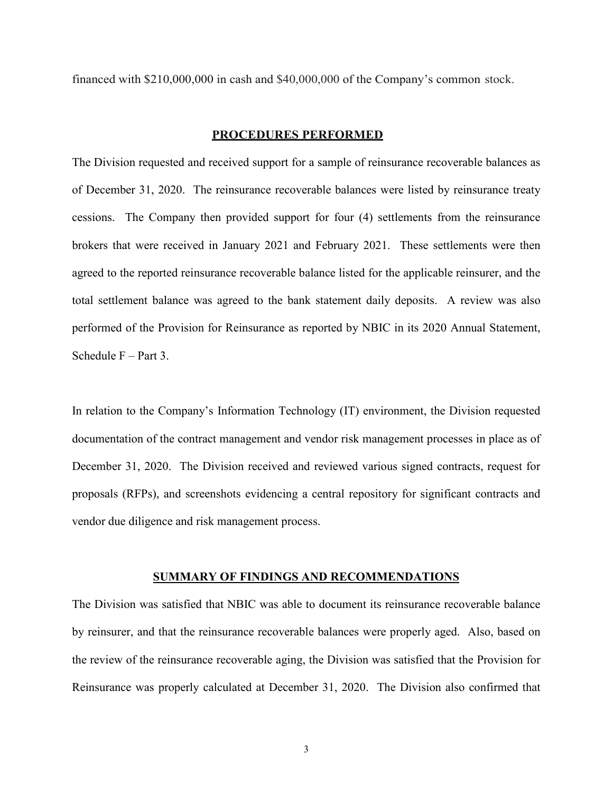financed with \$210,000,000 in cash and \$40,000,000 of the Company's common stock.

#### **PROCEDURES PERFORMED**

The Division requested and received support for a sample of reinsurance recoverable balances as of December 31, 2020. The reinsurance recoverable balances were listed by reinsurance treaty cessions. The Company then provided support for four (4) settlements from the reinsurance brokers that were received in January 2021 and February 2021. These settlements were then agreed to the reported reinsurance recoverable balance listed for the applicable reinsurer, and the total settlement balance was agreed to the bank statement daily deposits. A review was also performed of the Provision for Reinsurance as reported by NBIC in its 2020 Annual Statement, Schedule F – Part 3.

In relation to the Company's Information Technology (IT) environment, the Division requested documentation of the contract management and vendor risk management processes in place as of December 31, 2020. The Division received and reviewed various signed contracts, request for proposals (RFPs), and screenshots evidencing a central repository for significant contracts and vendor due diligence and risk management process.

#### **SUMMARY OF FINDINGS AND RECOMMENDATIONS**

The Division was satisfied that NBIC was able to document its reinsurance recoverable balance by reinsurer, and that the reinsurance recoverable balances were properly aged. Also, based on the review of the reinsurance recoverable aging, the Division was satisfied that the Provision for Reinsurance was properly calculated at December 31, 2020. The Division also confirmed that